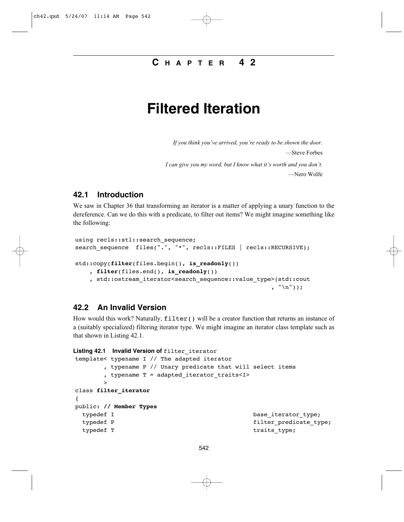# **C HAPTER 4 2**

# **Filtered Iteration**

*If you think you've arrived, you're ready to be shown the door.* —Steve Forbes *I can give you my word, but I know what it's worth and you don't.* —Nero Wolfe

### **42.1 Introduction**

We saw in Chapter 36 that transforming an iterator is a matter of applying a unary function to the dereference. Can we do this with a predicate, to filter out items? We might imagine something like the following:

```
using recls::stl::search sequence;
search sequence files(".", "*", recls::FILES | recls::RECURSIVE);
std::copy(filter(files.begin(), is_readonly())
    , filter(files.end(), is_readonly())
    , std::ostream_iterator<search_sequence::value_type>(std::cout
                                                           , "\n\langle n" \rangle);
```
## **42.2 An Invalid Version**

How would this work? Naturally,  $filter()$  will be a creator function that returns an instance of a (suitably specialized) filtering iterator type. We might imagine an iterator class template such as that shown in Listing 42.1.

```
Listing 42.1 Invalid Version of filter_iterator
template< typename I // The adapted iterator
      , typename P // Unary predicate that will select items
      , typename T = adapted_iterator_traits<I>
      >
class filter_iterator
{
public: // Member Types
 typedef I base_iterator_type;
 typedef P filter_predicate_type;
 typedef T traits_type;
```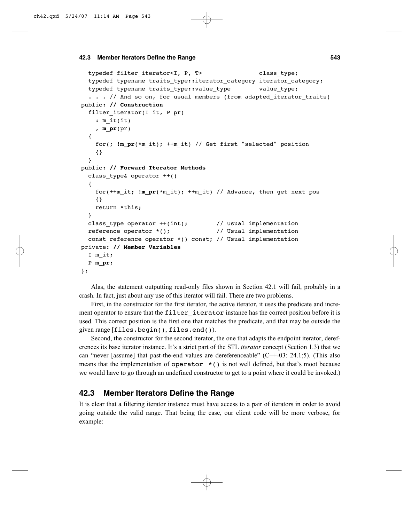```
typedef filter iterator<I, P, T> class type;
 typedef typename traits type:: iterator category iterator category;
 typedef typename traits type::value type value type;
  . . . // And so on, for usual members (from adapted iterator traits)
public: // Construction
 filter iterator(I it, P pr)
   : m_it(it)
   , m_pr(pr)
 {
   for(; !m_pr(*m_it); ++m_it) // Get first "selected" position
   {}
 }
public: // Forward Iterator Methods
 class type& operator ++(){
   for(++m_it; !m_pr(*m_it); ++m_it) // Advance, then get next pos
   {}
   return *this;
 }
 class type operator ++(int); // Usual implementation
 reference operator *(); // Usual implementation
 const reference operator *( ) const; // Usual implementation
private: // Member Variables
 I m_it;
 P m_pr;
};
```
Alas, the statement outputting read-only files shown in Section 42.1 will fail, probably in a crash. In fact, just about any use of this iterator will fail. There are two problems.

First, in the constructor for the first iterator, the active iterator, it uses the predicate and increment operator to ensure that the filter iterator instance has the correct position before it is used. This correct position is the first one that matches the predicate, and that may be outside the given range [files.begin(), files.end()).

Second, the constructor for the second iterator, the one that adapts the endpoint iterator, dereferences its base iterator instance. It's a strict part of the STL *iterator* concept (Section 1.3) that we can "never [assume] that past-the-end values are dereferenceable" (C++-03: 24.1;5). (This also means that the implementation of operator  $*($ ) is not well defined, but that's moot because we would have to go through an undefined constructor to get to a point where it could be invoked.)

# **42.3 Member Iterators Define the Range**

It is clear that a filtering iterator instance must have access to a pair of iterators in order to avoid going outside the valid range. That being the case, our client code will be more verbose, for example: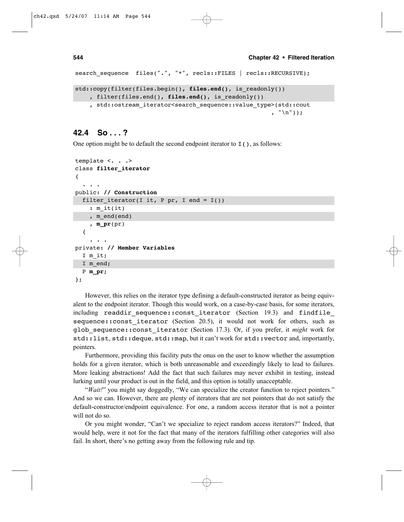```
search_sequence files(".", "*", recls::FILES | recls::RECURSIVE);
std::copy(filter(files.begin(), files.end(), is_readonly())
    , filter(files.end(), files.end(), is_readonly())
    , std::ostream_iterator<search_sequence::value_type>(std::cout
                                                        , "\n"));
```
## **42.4 So . . . ?**

One option might be to default the second endpoint iterator to  $I()$ , as follows:

```
template <. . .>
class filter_iterator
{
  . . . 
public: // Construction
  filter iterator(I it, P pr, I end = I())
    : m_it(it)
    , m end(end)
    , m_pr(pr)
  {
    . . .
private: // Member Variables
  I m_it;
  I m end;
  P m_pr;
};
```
However, this relies on the iterator type defining a default-constructed iterator as being equivalent to the endpoint iterator. Though this would work, on a case-by-case basis, for some iterators, including readdir sequence:: const iterator (Section 19.3) and findfile sequence:: const iterator (Section 20.5), it would not work for others, such as glob\_sequence::const\_iterator (Section 17.3). Or, if you prefer, it *might* work for std::list, std::deque, std::map, but it can't work for std::vector and, importantly, pointers.

Furthermore, providing this facility puts the onus on the user to know whether the assumption holds for a given iterator, which is both unreasonable and exceedingly likely to lead to failures. More leaking abstractions! Add the fact that such failures may never exhibit in testing, instead lurking until your product is out in the field, and this option is totally unacceptable.

"*Wait!*" you might say doggedly, "We can specialize the creator function to reject pointers." And so we can. However, there are plenty of iterators that are not pointers that do not satisfy the default-constructor/endpoint equivalence. For one, a random access iterator that is not a pointer will not do so.

Or you might wonder, "Can't we specialize to reject random access iterators?" Indeed, that would help, were it not for the fact that many of the iterators fulfilling other categories will also fail. In short, there's no getting away from the following rule and tip.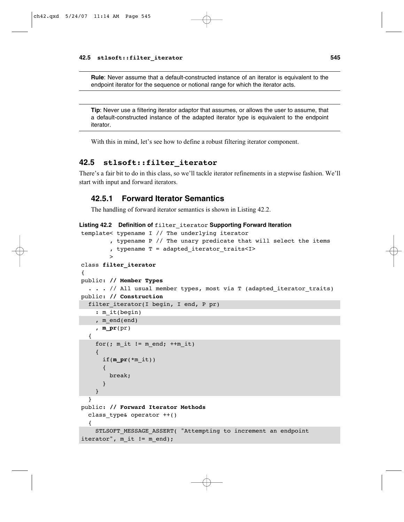**Rule**: Never assume that a default-constructed instance of an iterator is equivalent to the endpoint iterator for the sequence or notional range for which the iterator acts.

**Tip**: Never use a filtering iterator adaptor that assumes, or allows the user to assume, that a default-constructed instance of the adapted iterator type is equivalent to the endpoint iterator.

With this in mind, let's see how to define a robust filtering iterator component.

#### **42.5 stlsoft::filter\_iterator**

There's a fair bit to do in this class, so we'll tackle iterator refinements in a stepwise fashion. We'll start with input and forward iterators.

#### **42.5.1 Forward Iterator Semantics**

The handling of forward iterator semantics is shown in Listing 42.2.

```
Listing 42.2 Definition of filter_iterator Supporting Forward Iteration
template< typename I // The underlying iterator
         , typename P // The unary predicate that will select the items
         , typename T = adapted iterator traits<I>
         >
class filter_iterator
{
public: // Member Types
  . . . // All usual member types, most via T (adapted iterator traits)
public: // Construction
  filter iterator(I begin, I end, P pr)
    : m it(begin)
    , m_end(end)
    , m_pr(pr)
  {
    for(; m it != m end; ++m it)
    {
      if(m\_pr(*m it))
       {
        break;
      }
    }
  }
public: // Forward Iterator Methods
  class type& operator ++(){
    STLSOFT MESSAGE ASSERT( "Attempting to increment an endpoint
iterator", m_it != m_end);
```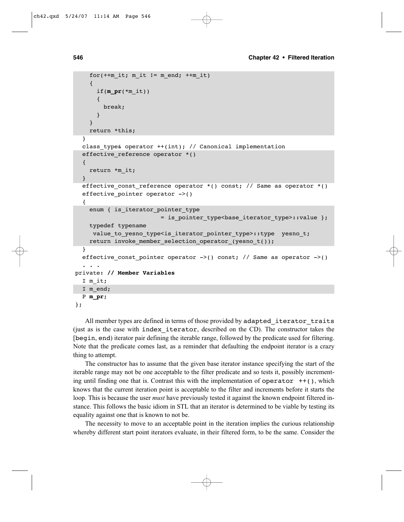```
for(++m it; m it != m end; ++m it)
    {
      if(m_pr(*m_it))
      {
        break;
      }
    }
    return *this;
  }
  class type& operator ++(int); // Canonical implementation
  effective_reference operator *()
  {
    return *m_it;
  }
  effective const reference operator *() const; // Same as operator *()
  effective_pointer operator ->()
  {
    enum { is iterator pointer type
                        = is pointer_type<base_iterator_type>::value };
    typedef typename
     value to yesno type<is iterator pointer type>::type yesno t;
    return invoke_member_selection_operator_(yesno_t());
  }
  effective const pointer operator ->() const; // Same as operator ->()
  . . .
private: // Member Variables
  I m_it;
  I m end;
  P m_pr;
};
```
All member types are defined in terms of those provided by adapted\_iterator\_traits (just as is the case with index\_iterator, described on the CD). The constructor takes the [begin, end) iterator pair defining the iterable range, followed by the predicate used for filtering. Note that the predicate comes last, as a reminder that defaulting the endpoint iterator is a crazy thing to attempt.

The constructor has to assume that the given base iterator instance specifying the start of the iterable range may not be one acceptable to the filter predicate and so tests it, possibly incrementing until finding one that is. Contrast this with the implementation of operator  $++($ ), which knows that the current iteration point is acceptable to the filter and increments before it starts the loop. This is because the user *must* have previously tested it against the known endpoint filtered instance. This follows the basic idiom in STL that an iterator is determined to be viable by testing its equality against one that is known to not be.

The necessity to move to an acceptable point in the iteration implies the curious relationship whereby different start point iterators evaluate, in their filtered form, to be the same. Consider the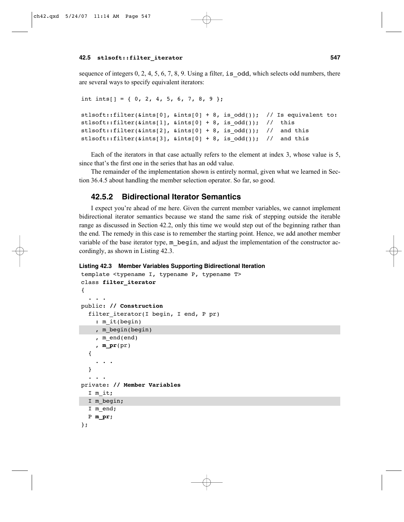sequence of integers  $0, 2, 4, 5, 6, 7, 8, 9$ . Using a filter, is odd, which selects odd numbers, there are several ways to specify equivalent iterators:

```
int ints[] = { 0, 2, 4, 5, 6, 7, 8, 9 };
stlsoft::filter(&ints[0], &ints[0] + 8, is_odd()); // Is equivalent to:
stlsoft::filter(&ints[1], &ints[0] + 8, is odd()); // this
stlsoft::filter(\&ints[2], \&ints[0] + 8, is\_odd()); // and this
stlsoft::filter(\&ints[3], \&ints[0] + 8, is\_odd()); // and this
```
Each of the iterators in that case actually refers to the element at index 3, whose value is 5, since that's the first one in the series that has an odd value.

The remainder of the implementation shown is entirely normal, given what we learned in Section 36.4.5 about handling the member selection operator. So far, so good.

## **42.5.2 Bidirectional Iterator Semantics**

I expect you're ahead of me here. Given the current member variables, we cannot implement bidirectional iterator semantics because we stand the same risk of stepping outside the iterable range as discussed in Section 42.2, only this time we would step out of the beginning rather than the end. The remedy in this case is to remember the starting point. Hence, we add another member variable of the base iterator type, m\_begin, and adjust the implementation of the constructor accordingly, as shown in Listing 42.3.

```
Listing 42.3 Member Variables Supporting Bidirectional Iteration
```

```
template <typename I, typename P, typename T>
class filter_iterator
{
  . . .
public: // Construction
  filter iterator(I begin, I end, P pr)
    : m_it(begin)
    , m_begin(begin)
    , m_end(end)
    , m_pr(pr)
  {
    . . .
  }
  . . .
private: // Member Variables
  I m_it;
  I m begin;
  I m end;
  P m_pr;
};
```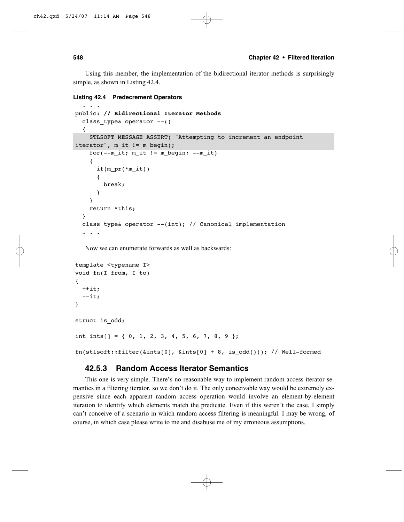Using this member, the implementation of the bidirectional iterator methods is surprisingly simple, as shown in Listing 42.4.

```
Listing 42.4 Predecrement Operators
```

```
. . .
public: // Bidirectional Iterator Methods
  class_type& operator --()
  {
    STLSOFT MESSAGE ASSERT( "Attempting to increment an endpoint
iterator", m_it != m_begin);
    for(--m_it; m_it != m_begin; --m_it)
    {
      if(m\_pr(*m it))
      {
        break;
      }
    }
    return *this;
  }
  class type& operator --(int); // Canonical implementation
  . . .
```
Now we can enumerate forwards as well as backwards:

```
template <typename I>
void fn(I from, I to)
{
  ++it;
  --it;
}
struct is_odd;
int ints[] = { 0, 1, 2, 3, 4, 5, 6, 7, 8, 9 };
fn(stlsoft::filter(&ints[0], &ints[0] + 8, is_odd())); // Well-formed
```
#### **42.5.3 Random Access Iterator Semantics**

This one is very simple. There's no reasonable way to implement random access iterator semantics in a filtering iterator, so we don't do it. The only conceivable way would be extremely expensive since each apparent random access operation would involve an element-by-element iteration to identify which elements match the predicate. Even if this weren't the case, I simply can't conceive of a scenario in which random access filtering is meaningful. I may be wrong, of course, in which case please write to me and disabuse me of my erroneous assumptions.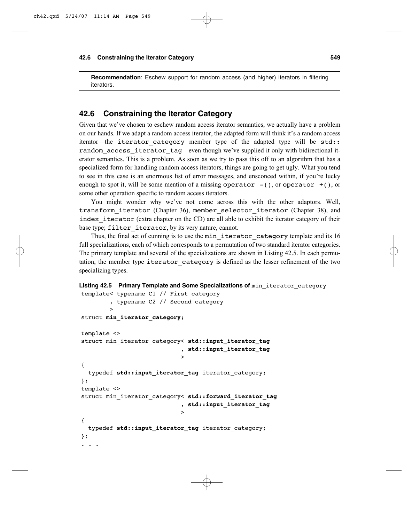**Recommendation**: Eschew support for random access (and higher) iterators in filtering iterators.

#### **42.6 Constraining the Iterator Category**

Given that we've chosen to eschew random access iterator semantics, we actually have a problem on our hands. If we adapt a random access iterator, the adapted form will think it's a random access iterator—the iterator category member type of the adapted type will be std: random access iterator tag—even though we've supplied it only with bidirectional iterator semantics. This is a problem. As soon as we try to pass this off to an algorithm that has a specialized form for handling random access iterators, things are going to get ugly. What you tend to see in this case is an enormous list of error messages, and ensconced within, if you're lucky enough to spot it, will be some mention of a missing operator  $-()$ , or operator  $+()$ , or some other operation specific to random access iterators.

You might wonder why we've not come across this with the other adaptors. Well, transform\_iterator (Chapter 36), member\_selector\_iterator (Chapter 38), and index iterator (extra chapter on the CD) are all able to exhibit the iterator category of their base type; filter iterator, by its very nature, cannot.

Thus, the final act of cunning is to use the min iterator category template and its 16 full specializations, each of which corresponds to a permutation of two standard iterator categories. The primary template and several of the specializations are shown in Listing 42.5. In each permutation, the member type iterator\_category is defined as the lesser refinement of the two specializing types.

```
Listing 42.5 Primary Template and Some Specializations of min iterator category
template< typename C1 // First category
```

```
, typename C2 // Second category
        >
struct min_iterator_category;
template <>
struct min_iterator_category< std::input_iterator_tag
                             , std::input_iterator_tag
                             >
{
  typedef std:: input iterator tag iterator category;
};
template <>
struct min iterator category< std::forward iterator tag
                             , std::input_iterator_tag
                             >
{
  typedef std::input_iterator_tag iterator_category;
};
. . .
```